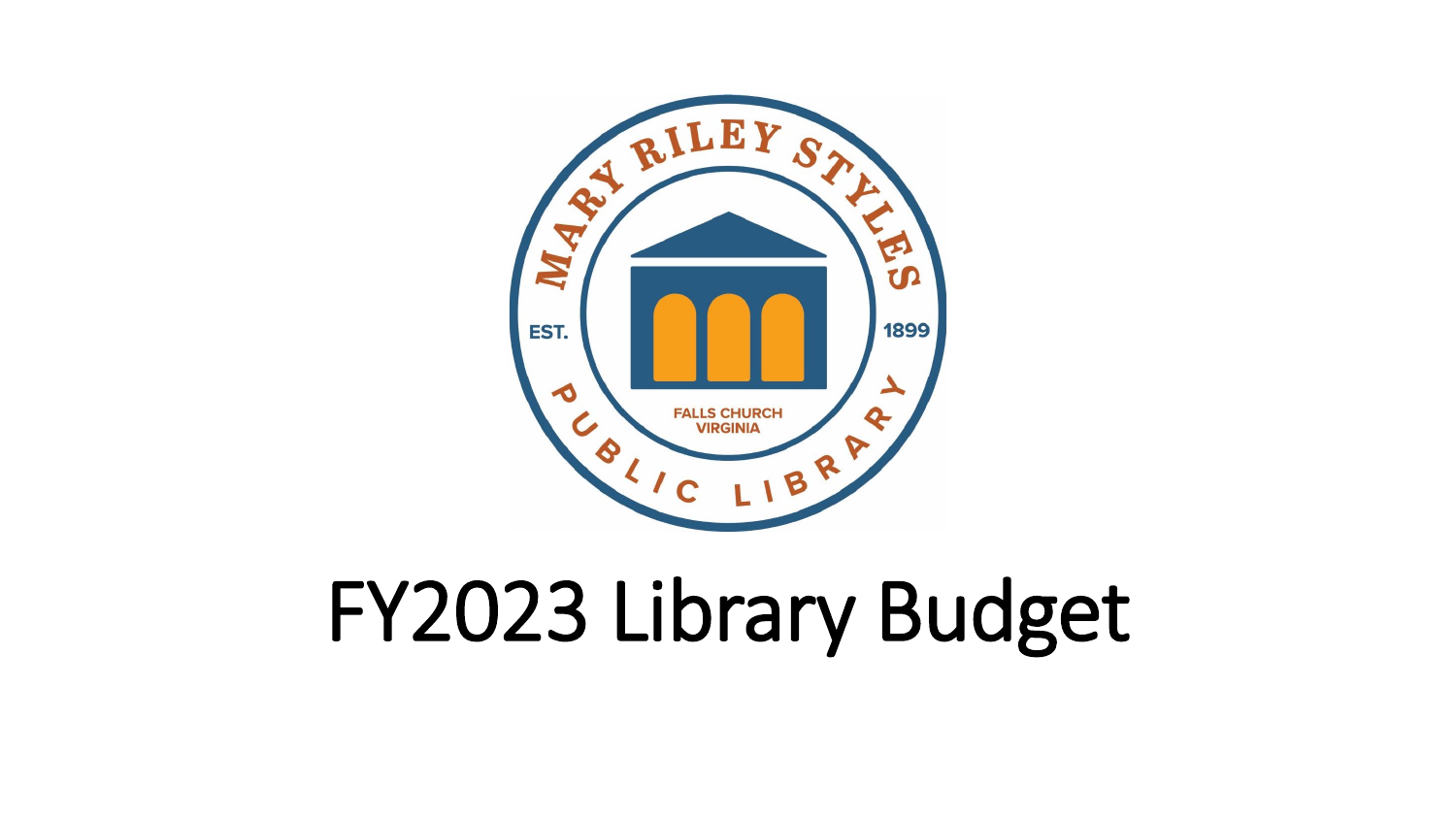# FY2023 Library Budget

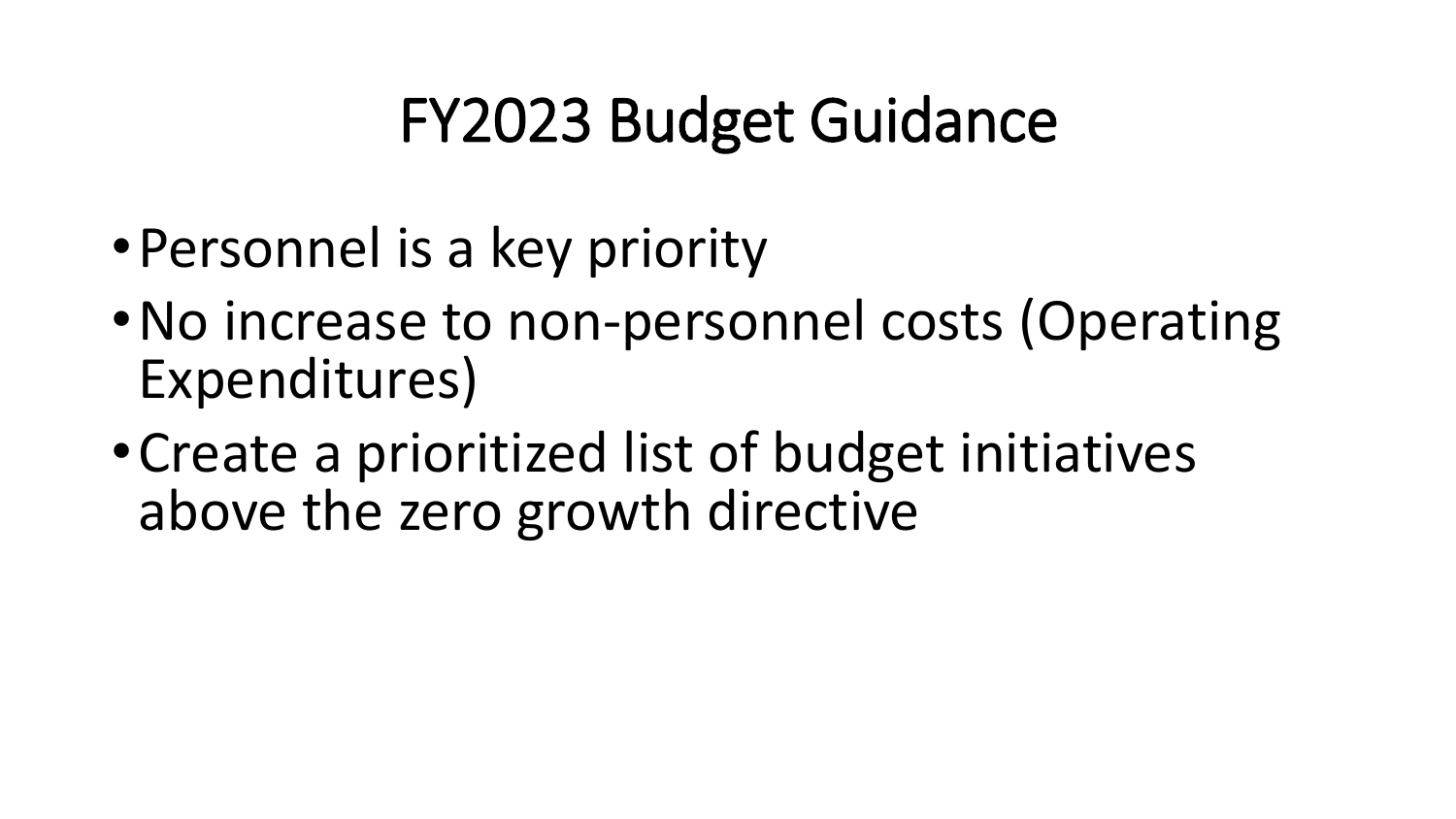### FY2023 Budget Guidance

- •Personnel is a key priority
- •No increase to non-personnel costs (Operating Expenditures)
- •Create a prioritized list of budget initiatives above the zero growth directive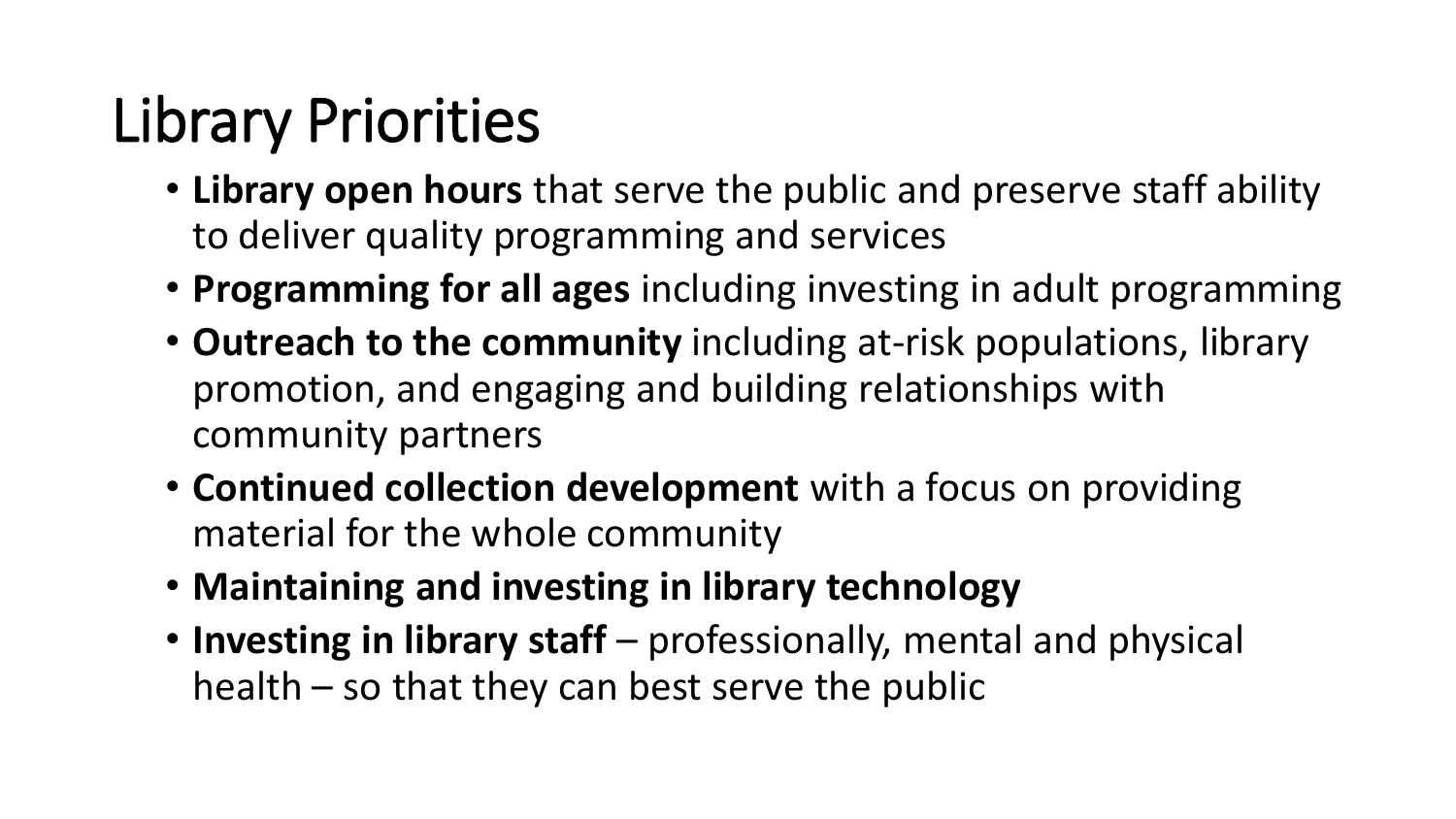## Library Priorities

- **Library open hours** that serve the public and preserve staff ability to deliver quality programming and services
- **Programming for all ages** including investing in adult programming
- **Outreach to the community** including at-risk populations, library promotion, and engaging and building relationships with community partners
- **Continued collection development** with a focus on providing material for the whole community
- **Maintaining and investing in library technology**
- **Investing in library staff** professionally, mental and physical health – so that they can best serve the public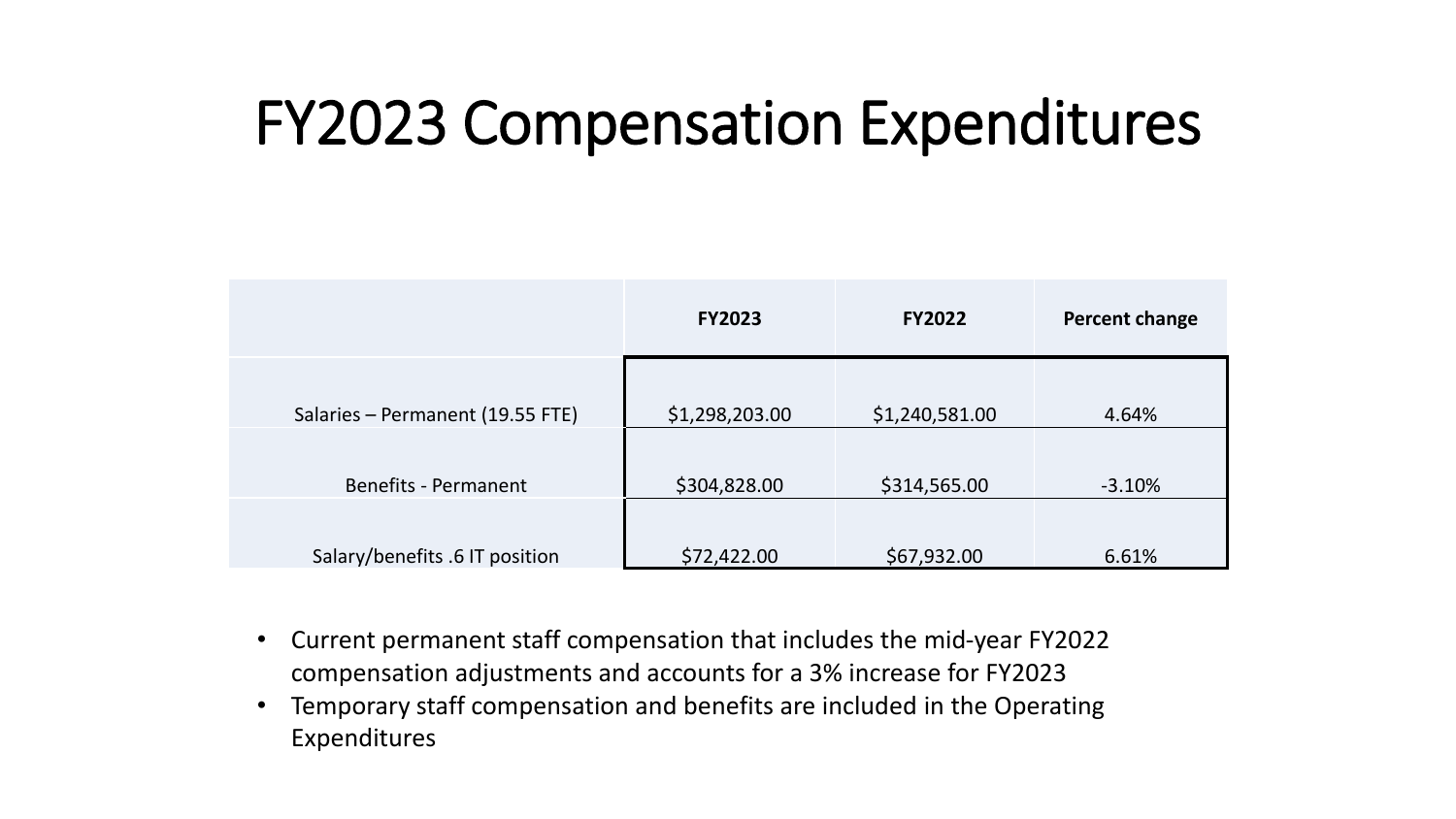#### FY2023 Compensation Expenditures

|                                  | <b>FY2023</b>  | <b>FY2022</b>  | <b>Percent change</b> |
|----------------------------------|----------------|----------------|-----------------------|
| Salaries - Permanent (19.55 FTE) | \$1,298,203.00 | \$1,240,581.00 | 4.64%                 |
| <b>Benefits - Permanent</b>      | \$304,828.00   | \$314,565.00   | $-3.10%$              |
| Salary/benefits .6 IT position   | \$72,422.00    | \$67,932.00    | 6.61%                 |

- Current permanent staff compensation that includes the mid-year FY2022 compensation adjustments and accounts for a 3% increase for FY2023
- Temporary staff compensation and benefits are included in the Operating Expenditures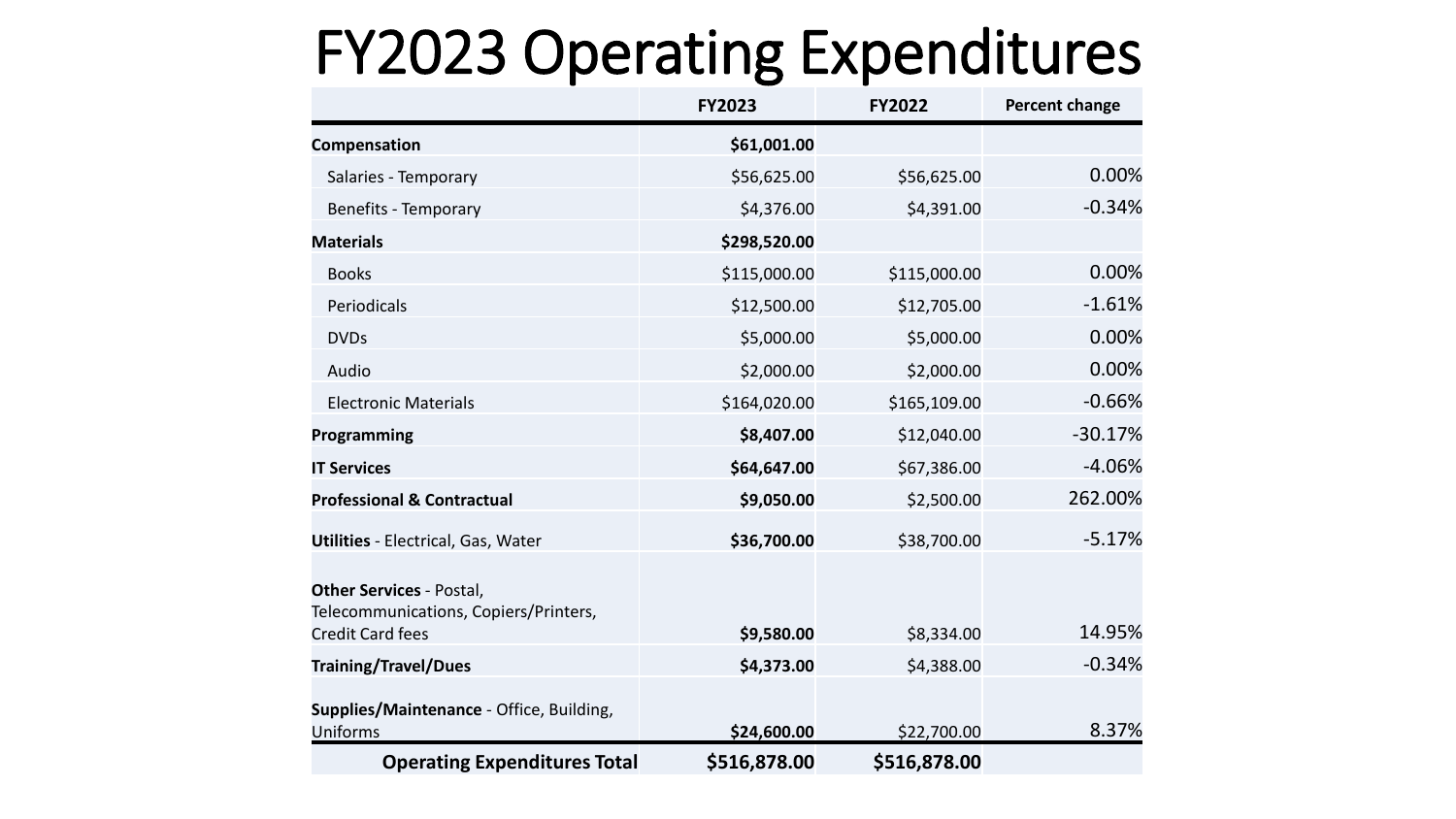#### FY2023 Operating Expenditures

|                                                                                                     | <b>FY2023</b> | <b>FY2022</b> | <b>Percent change</b> |
|-----------------------------------------------------------------------------------------------------|---------------|---------------|-----------------------|
| Compensation                                                                                        | \$61,001.00   |               |                       |
| Salaries - Temporary                                                                                | \$56,625.00   | \$56,625.00   | 0.00%                 |
| Benefits - Temporary                                                                                | \$4,376.00    | \$4,391.00    | $-0.34%$              |
| <b>Materials</b>                                                                                    | \$298,520.00  |               |                       |
| <b>Books</b>                                                                                        | \$115,000.00  | \$115,000.00  | 0.00%                 |
| Periodicals                                                                                         | \$12,500.00   | \$12,705.00   | $-1.61%$              |
| <b>DVDs</b>                                                                                         | \$5,000.00    | \$5,000.00    | 0.00%                 |
| Audio                                                                                               | \$2,000.00    | \$2,000.00    | 0.00%                 |
| <b>Electronic Materials</b>                                                                         | \$164,020.00  | \$165,109.00  | $-0.66%$              |
| Programming                                                                                         | \$8,407.00    | \$12,040.00   | $-30.17%$             |
| <b>IT Services</b>                                                                                  | \$64,647.00   | \$67,386.00   | $-4.06%$              |
| <b>Professional &amp; Contractual</b>                                                               | \$9,050.00    | \$2,500.00    | 262.00%               |
| <b>Utilities - Electrical, Gas, Water</b>                                                           | \$36,700.00   | \$38,700.00   | $-5.17%$              |
| <b>Other Services - Postal,</b><br>Telecommunications, Copiers/Printers,<br><b>Credit Card fees</b> | \$9,580.00    | \$8,334.00    | 14.95%                |
| <b>Training/Travel/Dues</b>                                                                         | \$4,373.00    | \$4,388.00    | $-0.34%$              |
| Supplies/Maintenance - Office, Building,<br><b>Uniforms</b>                                         | \$24,600.00   | \$22,700.00   | 8.37%                 |
| <b>Operating Expenditures Total</b>                                                                 | \$516,878.00  | \$516,878.00  |                       |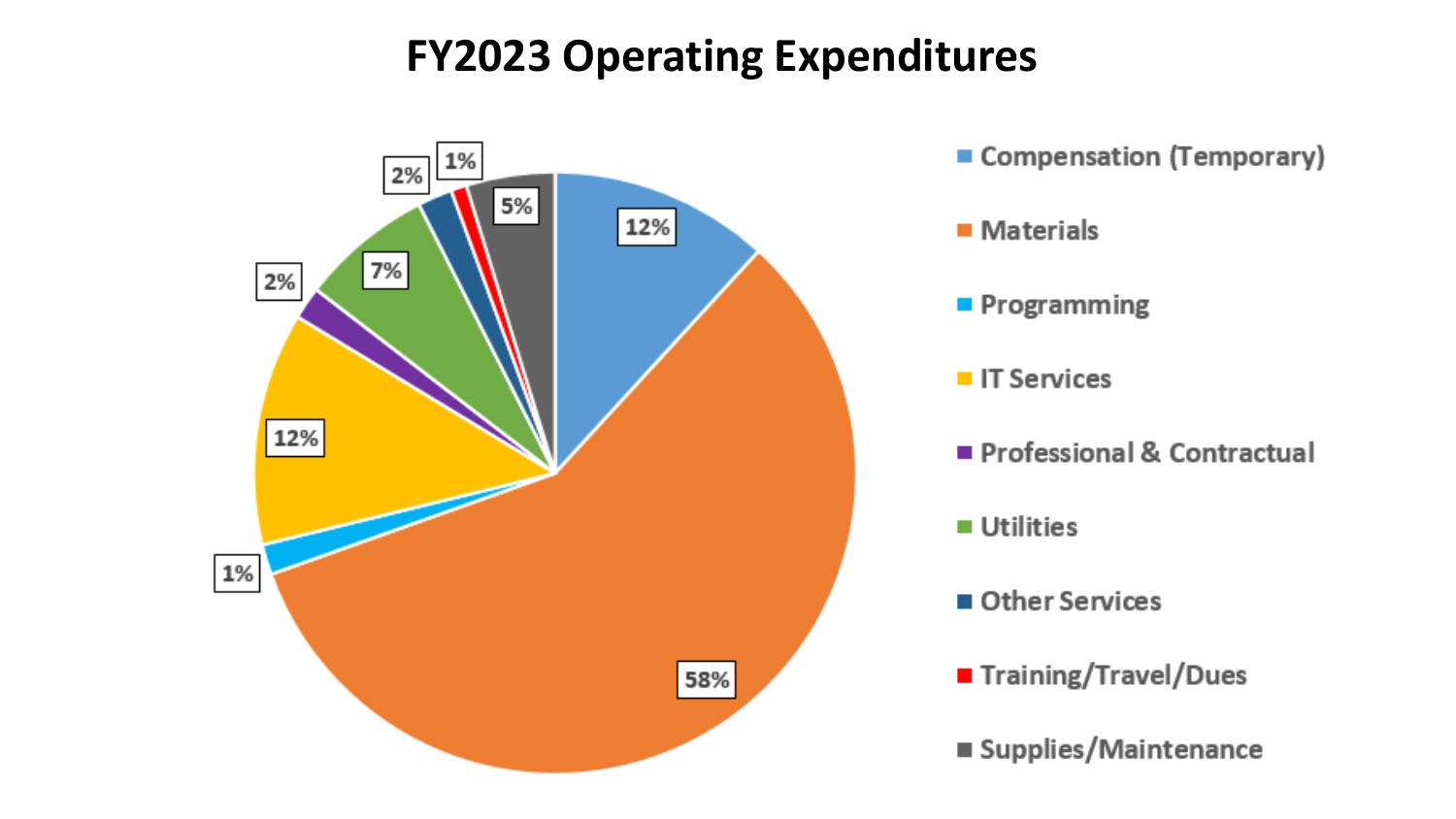#### **FY2023 Operating Expenditures**

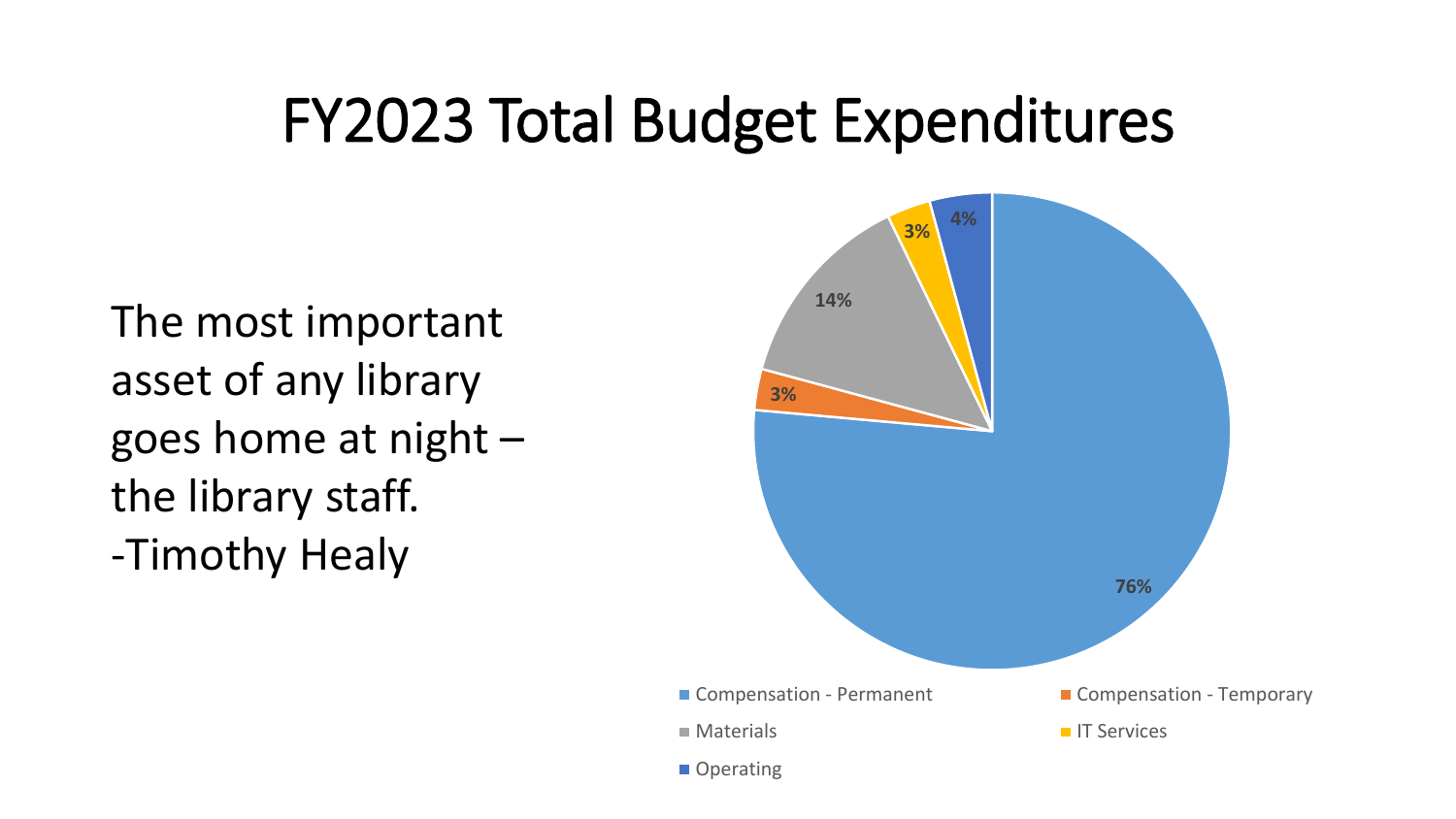#### FY2023 Total Budget Expenditures

The most important asset of any library goes home at night – the library staff.

-Timothy Healy

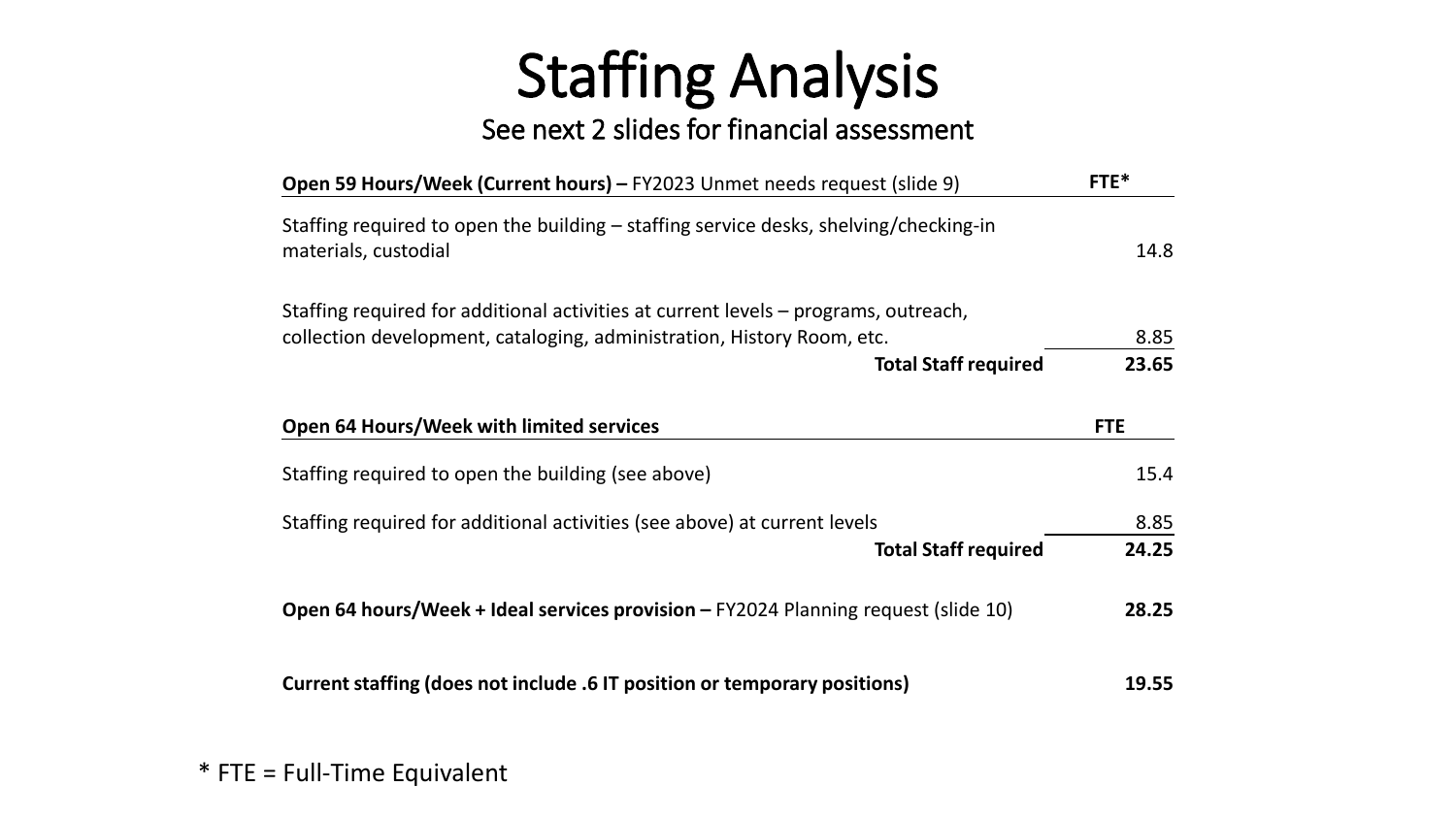### Staffing Analysis

#### See next 2 slides for financial assessment

| Open 59 Hours/Week (Current hours) – FY2023 Unmet needs request (slide 9)                                     | FTE*       |
|---------------------------------------------------------------------------------------------------------------|------------|
| Staffing required to open the building – staffing service desks, shelving/checking-in<br>materials, custodial | 14.8       |
| Staffing required for additional activities at current levels – programs, outreach,                           |            |
| collection development, cataloging, administration, History Room, etc.                                        | 8.85       |
| <b>Total Staff required</b>                                                                                   | 23.65      |
| Open 64 Hours/Week with limited services                                                                      | <b>FTE</b> |
| Staffing required to open the building (see above)                                                            | 15.4       |
| Staffing required for additional activities (see above) at current levels                                     | 8.85       |
| <b>Total Staff required</b>                                                                                   | 24.25      |
| Open 64 hours/Week + Ideal services provision - FY2024 Planning request (slide 10)                            | 28.25      |
| Current staffing (does not include .6 IT position or temporary positions)                                     | 19.55      |
|                                                                                                               |            |

#### \* FTE = Full-Time Equivalent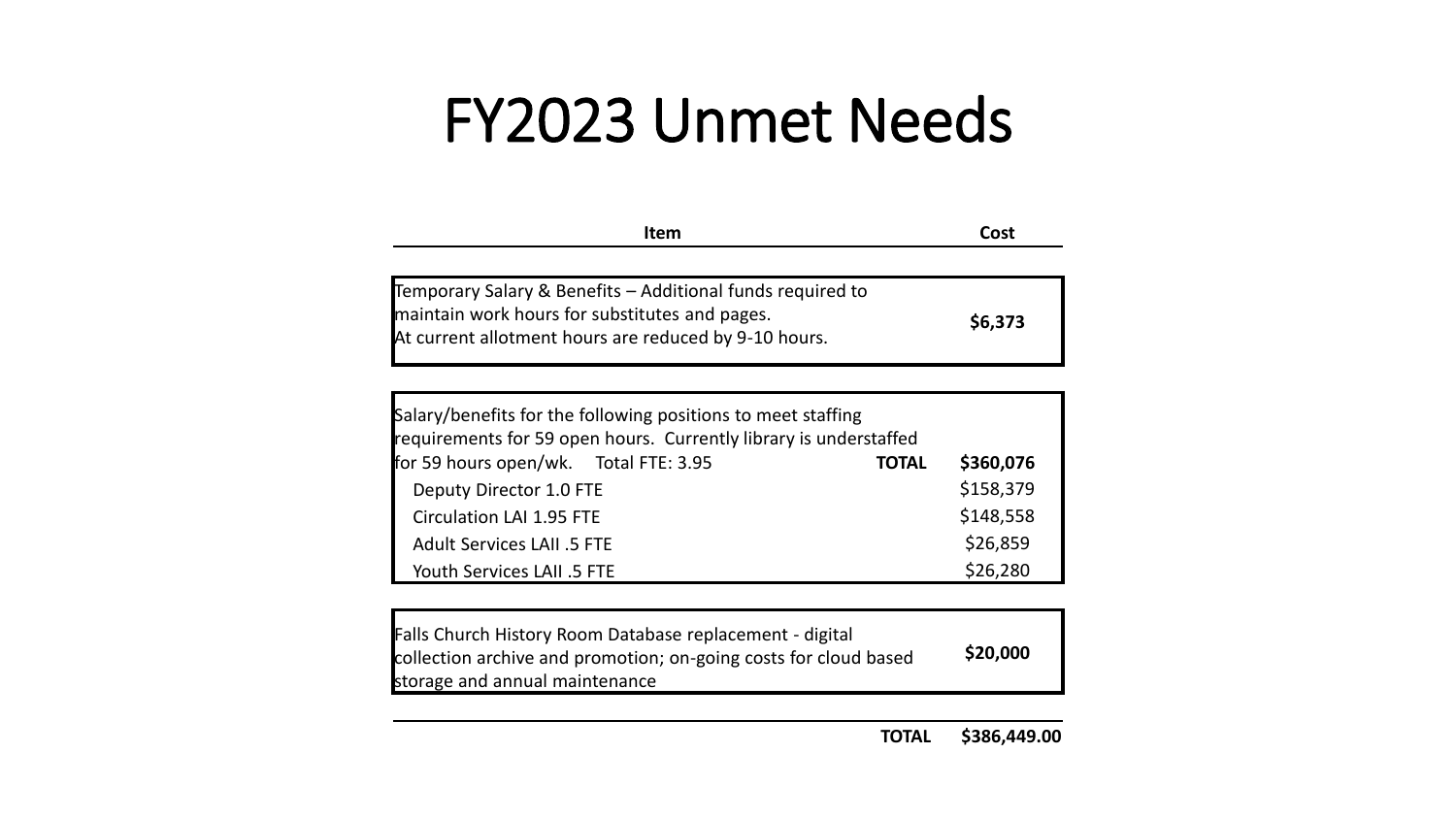#### FY2023 Unmet Needs

| <b>Item</b>                                                                                                                                                           | Cost    |
|-----------------------------------------------------------------------------------------------------------------------------------------------------------------------|---------|
|                                                                                                                                                                       |         |
| Temporary Salary & Benefits – Additional funds required to<br>maintain work hours for substitutes and pages.<br>At current allotment hours are reduced by 9-10 hours. | \$6,373 |

| Salary/benefits for the following positions to meet staffing<br>requirements for 59 open hours. Currently library is understaffed |              |           |
|-----------------------------------------------------------------------------------------------------------------------------------|--------------|-----------|
| for 59 hours open/wk. Total FTE: 3.95                                                                                             | <b>TOTAL</b> | \$360,076 |
| Deputy Director 1.0 FTE                                                                                                           |              | \$158,379 |
| <b>Circulation LAI 1.95 FTE</b>                                                                                                   |              | \$148,558 |
| <b>Adult Services LAII .5 FTE</b>                                                                                                 |              | \$26,859  |
| Youth Services LAII .5 FTE                                                                                                        |              | \$26,280  |

| Falls Church History Room Database replacement - digital<br>collection archive and promotion; on-going costs for cloud based | \$20,000 |
|------------------------------------------------------------------------------------------------------------------------------|----------|
| storage and annual maintenance                                                                                               |          |